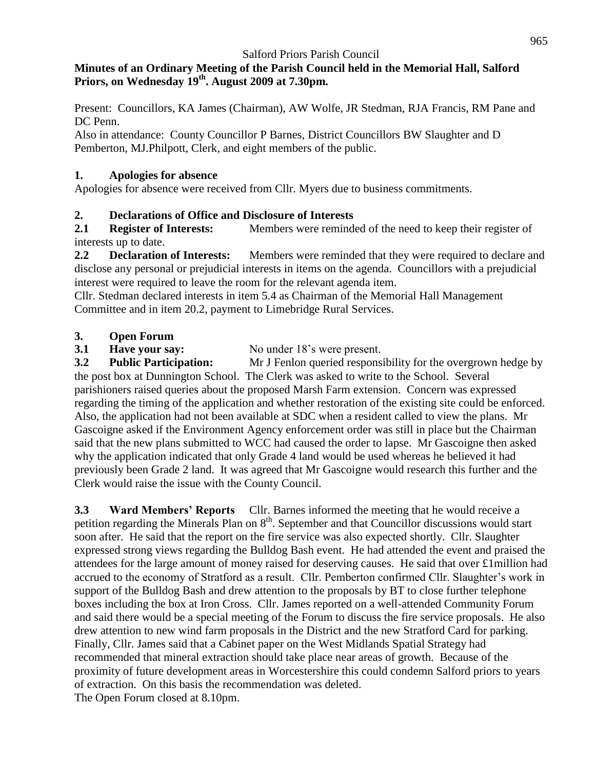#### **Minutes of an Ordinary Meeting of the Parish Council held in the Memorial Hall, Salford Priors, on Wednesday 19 th . August 2009 at 7.30pm.**

Present: Councillors, KA James (Chairman), AW Wolfe, JR Stedman, RJA Francis, RM Pane and DC Penn.

Also in attendance: County Councillor P Barnes, District Councillors BW Slaughter and D Pemberton, MJ.Philpott, Clerk, and eight members of the public.

#### **1. Apologies for absence**

Apologies for absence were received from Cllr. Myers due to business commitments.

#### **2. Declarations of Office and Disclosure of Interests**

**2.1 Register of Interests:** Members were reminded of the need to keep their register of interests up to date.

**2.2 Declaration of Interests:** Members were reminded that they were required to declare and disclose any personal or prejudicial interests in items on the agenda. Councillors with a prejudicial interest were required to leave the room for the relevant agenda item.

Cllr. Stedman declared interests in item 5.4 as Chairman of the Memorial Hall Management Committee and in item 20.2, payment to Limebridge Rural Services.

# **3. Open Forum**

**3.1 Have your say:** No under 18's were present.

**3.2 Public Participation:** Mr J Fenlon queried responsibility for the overgrown hedge by the post box at Dunnington School. The Clerk was asked to write to the School. Several parishioners raised queries about the proposed Marsh Farm extension. Concern was expressed regarding the timing of the application and whether restoration of the existing site could be enforced. Also, the application had not been available at SDC when a resident called to view the plans. Mr Gascoigne asked if the Environment Agency enforcement order was still in place but the Chairman said that the new plans submitted to WCC had caused the order to lapse. Mr Gascoigne then asked why the application indicated that only Grade 4 land would be used whereas he believed it had previously been Grade 2 land. It was agreed that Mr Gascoigne would research this further and the Clerk would raise the issue with the County Council.

**3.3 Ward Members' Reports** Cllr. Barnes informed the meeting that he would receive a petition regarding the Minerals Plan on  $8<sup>th</sup>$ . September and that Councillor discussions would start soon after. He said that the report on the fire service was also expected shortly. Cllr. Slaughter expressed strong views regarding the Bulldog Bash event. He had attended the event and praised the attendees for the large amount of money raised for deserving causes. He said that over £1million had accrued to the economy of Stratford as a result. Cllr. Pemberton confirmed Cllr. Slaughter's work in support of the Bulldog Bash and drew attention to the proposals by BT to close further telephone boxes including the box at Iron Cross. Cllr. James reported on a well-attended Community Forum and said there would be a special meeting of the Forum to discuss the fire service proposals. He also drew attention to new wind farm proposals in the District and the new Stratford Card for parking. Finally, Cllr. James said that a Cabinet paper on the West Midlands Spatial Strategy had recommended that mineral extraction should take place near areas of growth. Because of the proximity of future development areas in Worcestershire this could condemn Salford priors to years of extraction. On this basis the recommendation was deleted. The Open Forum closed at 8.10pm.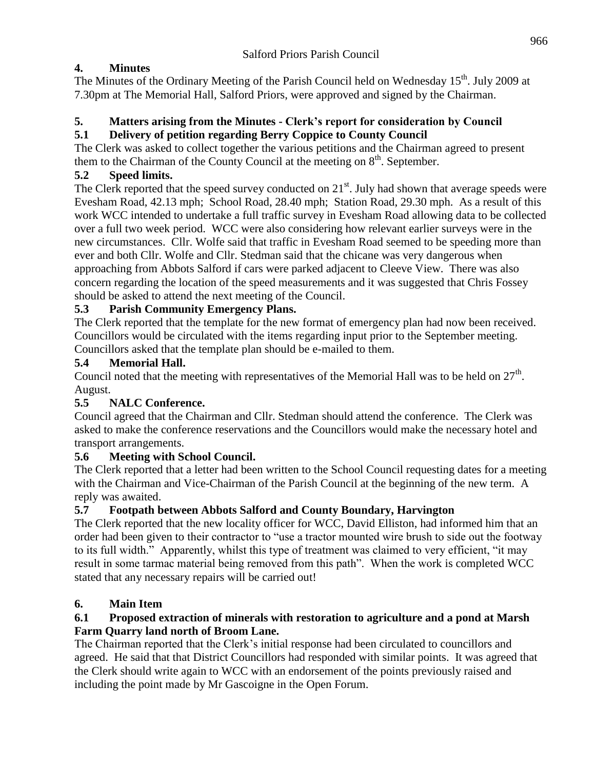# **4. Minutes**

The Minutes of the Ordinary Meeting of the Parish Council held on Wednesday 15<sup>th</sup>. July 2009 at 7.30pm at The Memorial Hall, Salford Priors, were approved and signed by the Chairman.

# **5. Matters arising from the Minutes - Clerk's report for consideration by Council**

#### **5.1 Delivery of petition regarding Berry Coppice to County Council**

The Clerk was asked to collect together the various petitions and the Chairman agreed to present them to the Chairman of the County Council at the meeting on  $8<sup>th</sup>$ . September.

#### **5.2 Speed limits.**

The Clerk reported that the speed survey conducted on  $21<sup>st</sup>$ . July had shown that average speeds were Evesham Road, 42.13 mph; School Road, 28.40 mph; Station Road, 29.30 mph. As a result of this work WCC intended to undertake a full traffic survey in Evesham Road allowing data to be collected over a full two week period. WCC were also considering how relevant earlier surveys were in the new circumstances. Cllr. Wolfe said that traffic in Evesham Road seemed to be speeding more than ever and both Cllr. Wolfe and Cllr. Stedman said that the chicane was very dangerous when approaching from Abbots Salford if cars were parked adjacent to Cleeve View. There was also concern regarding the location of the speed measurements and it was suggested that Chris Fossey should be asked to attend the next meeting of the Council.

# **5.3 Parish Community Emergency Plans.**

The Clerk reported that the template for the new format of emergency plan had now been received. Councillors would be circulated with the items regarding input prior to the September meeting. Councillors asked that the template plan should be e-mailed to them.

#### **5.4 Memorial Hall.**

Council noted that the meeting with representatives of the Memorial Hall was to be held on  $27<sup>th</sup>$ . August.

# **5.5 NALC Conference.**

Council agreed that the Chairman and Cllr. Stedman should attend the conference. The Clerk was asked to make the conference reservations and the Councillors would make the necessary hotel and transport arrangements.

#### **5.6 Meeting with School Council.**

The Clerk reported that a letter had been written to the School Council requesting dates for a meeting with the Chairman and Vice-Chairman of the Parish Council at the beginning of the new term. A reply was awaited.

#### **5.7 Footpath between Abbots Salford and County Boundary, Harvington**

The Clerk reported that the new locality officer for WCC, David Elliston, had informed him that an order had been given to their contractor to "use a tractor mounted wire brush to side out the footway to its full width." Apparently, whilst this type of treatment was claimed to very efficient, "it may result in some tarmac material being removed from this path". When the work is completed WCC stated that any necessary repairs will be carried out!

# **6. Main Item**

#### **6.1 Proposed extraction of minerals with restoration to agriculture and a pond at Marsh Farm Quarry land north of Broom Lane.**

The Chairman reported that the Clerk's initial response had been circulated to councillors and agreed. He said that that District Councillors had responded with similar points. It was agreed that the Clerk should write again to WCC with an endorsement of the points previously raised and including the point made by Mr Gascoigne in the Open Forum.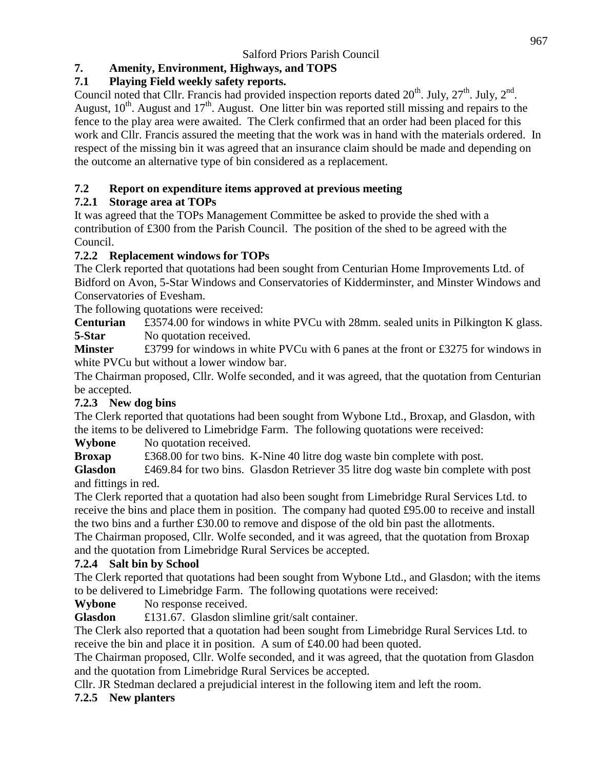# **7. Amenity, Environment, Highways, and TOPS**

# **7.1 Playing Field weekly safety reports.**

Council noted that Cllr. Francis had provided inspection reports dated  $20^{th}$ . July,  $27^{th}$ . July,  $2^{nd}$ . August,  $10<sup>th</sup>$ . August and  $17<sup>th</sup>$ . August. One litter bin was reported still missing and repairs to the fence to the play area were awaited. The Clerk confirmed that an order had been placed for this work and Cllr. Francis assured the meeting that the work was in hand with the materials ordered. In respect of the missing bin it was agreed that an insurance claim should be made and depending on the outcome an alternative type of bin considered as a replacement.

# **7.2 Report on expenditure items approved at previous meeting**

# **7.2.1 Storage area at TOPs**

It was agreed that the TOPs Management Committee be asked to provide the shed with a contribution of £300 from the Parish Council. The position of the shed to be agreed with the Council.

# **7.2.2 Replacement windows for TOPs**

The Clerk reported that quotations had been sought from Centurian Home Improvements Ltd. of Bidford on Avon, 5-Star Windows and Conservatories of Kidderminster, and Minster Windows and Conservatories of Evesham.

The following quotations were received:

**Centurian** £3574.00 for windows in white PVCu with 28mm. sealed units in Pilkington K glass. **5-Star** No quotation received.

**Minster** £3799 for windows in white PVCu with 6 panes at the front or £3275 for windows in white PVCu but without a lower window bar.

The Chairman proposed, Cllr. Wolfe seconded, and it was agreed, that the quotation from Centurian be accepted.

# **7.2.3 New dog bins**

The Clerk reported that quotations had been sought from Wybone Ltd., Broxap, and Glasdon, with the items to be delivered to Limebridge Farm. The following quotations were received:

**Wybone** No quotation received.

**Broxap** £368.00 for two bins. K-Nine 40 litre dog waste bin complete with post.

**Glasdon** £469.84 for two bins. Glasdon Retriever 35 litre dog waste bin complete with post and fittings in red.

The Clerk reported that a quotation had also been sought from Limebridge Rural Services Ltd. to receive the bins and place them in position. The company had quoted £95.00 to receive and install the two bins and a further £30.00 to remove and dispose of the old bin past the allotments.

The Chairman proposed, Cllr. Wolfe seconded, and it was agreed, that the quotation from Broxap and the quotation from Limebridge Rural Services be accepted.

# **7.2.4 Salt bin by School**

The Clerk reported that quotations had been sought from Wybone Ltd., and Glasdon; with the items to be delivered to Limebridge Farm. The following quotations were received:

**Wybone** No response received.

**Glasdon** £131.67. Glasdon slimline grit/salt container.

The Clerk also reported that a quotation had been sought from Limebridge Rural Services Ltd. to receive the bin and place it in position. A sum of £40.00 had been quoted.

The Chairman proposed, Cllr. Wolfe seconded, and it was agreed, that the quotation from Glasdon and the quotation from Limebridge Rural Services be accepted.

Cllr. JR Stedman declared a prejudicial interest in the following item and left the room.

# **7.2.5 New planters**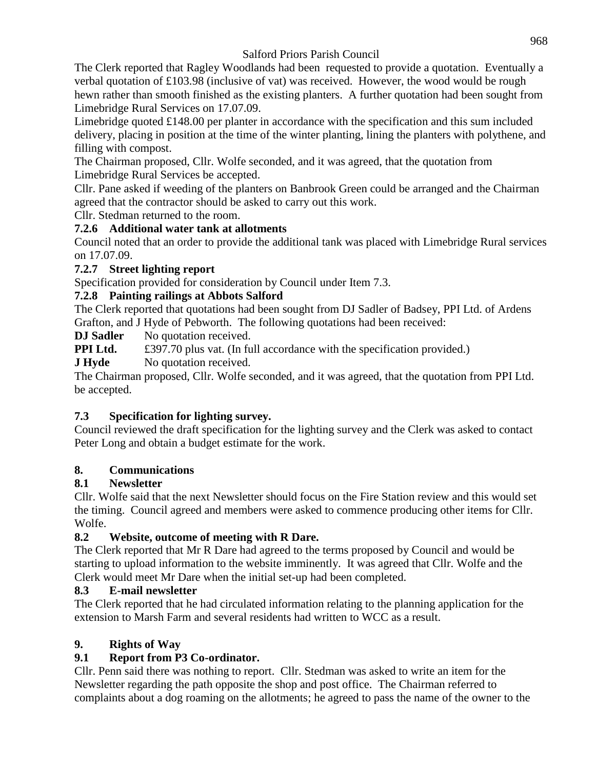The Clerk reported that Ragley Woodlands had been requested to provide a quotation. Eventually a verbal quotation of  $\text{\pounds}103.98$  (inclusive of vat) was received. However, the wood would be rough hewn rather than smooth finished as the existing planters. A further quotation had been sought from Limebridge Rural Services on 17.07.09.

Limebridge quoted  $\pounds148.00$  per planter in accordance with the specification and this sum included delivery, placing in position at the time of the winter planting, lining the planters with polythene, and filling with compost.

The Chairman proposed, Cllr. Wolfe seconded, and it was agreed, that the quotation from Limebridge Rural Services be accepted.

Cllr. Pane asked if weeding of the planters on Banbrook Green could be arranged and the Chairman agreed that the contractor should be asked to carry out this work.

Cllr. Stedman returned to the room.

# **7.2.6 Additional water tank at allotments**

Council noted that an order to provide the additional tank was placed with Limebridge Rural services on 17.07.09.

#### **7.2.7 Street lighting report**

Specification provided for consideration by Council under Item 7.3.

# **7.2.8 Painting railings at Abbots Salford**

The Clerk reported that quotations had been sought from DJ Sadler of Badsey, PPI Ltd. of Ardens Grafton, and J Hyde of Pebworth. The following quotations had been received:

**DJ Sadler** No quotation received.

**PPI Ltd.** £397.70 plus vat. (In full accordance with the specification provided.)

**J Hyde** No quotation received.

The Chairman proposed, Cllr. Wolfe seconded, and it was agreed, that the quotation from PPI Ltd. be accepted.

# **7.3 Specification for lighting survey.**

Council reviewed the draft specification for the lighting survey and the Clerk was asked to contact Peter Long and obtain a budget estimate for the work.

# **8. Communications**

# **8.1 Newsletter**

Cllr. Wolfe said that the next Newsletter should focus on the Fire Station review and this would set the timing. Council agreed and members were asked to commence producing other items for Cllr. Wolfe.

# **8.2 Website, outcome of meeting with R Dare.**

The Clerk reported that Mr R Dare had agreed to the terms proposed by Council and would be starting to upload information to the website imminently. It was agreed that Cllr. Wolfe and the Clerk would meet Mr Dare when the initial set-up had been completed.

# **8.3 E-mail newsletter**

The Clerk reported that he had circulated information relating to the planning application for the extension to Marsh Farm and several residents had written to WCC as a result.

# **9. Rights of Way**

# **9.1 Report from P3 Co-ordinator.**

Cllr. Penn said there was nothing to report. Cllr. Stedman was asked to write an item for the Newsletter regarding the path opposite the shop and post office. The Chairman referred to complaints about a dog roaming on the allotments; he agreed to pass the name of the owner to the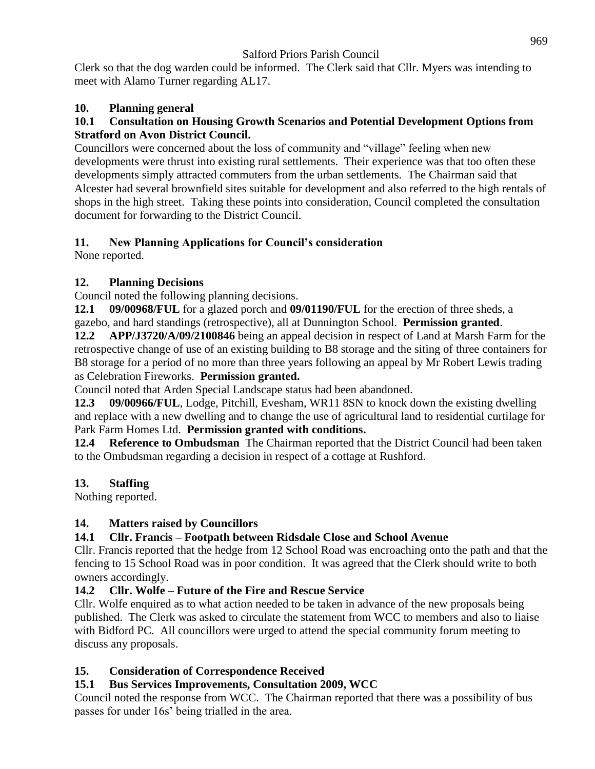Clerk so that the dog warden could be informed. The Clerk said that Cllr. Myers was intending to meet with Alamo Turner regarding AL17.

# **10. Planning general**

#### **10.1 Consultation on Housing Growth Scenarios and Potential Development Options from Stratford on Avon District Council.**

Councillors were concerned about the loss of community and "village" feeling when new developments were thrust into existing rural settlements. Their experience was that too often these developments simply attracted commuters from the urban settlements. The Chairman said that Alcester had several brownfield sites suitable for development and also referred to the high rentals of shops in the high street. Taking these points into consideration, Council completed the consultation document for forwarding to the District Council.

# **11. New Planning Applications for Council's consideration**

None reported.

# **12. Planning Decisions**

Council noted the following planning decisions.

**12.1 09/00968/FUL** for a glazed porch and **09/01190/FUL** for the erection of three sheds, a gazebo, and hard standings (retrospective), all at Dunnington School. **Permission granted**.

**12.2 APP/J3720/A/09/2100846** being an appeal decision in respect of Land at Marsh Farm for the retrospective change of use of an existing building to B8 storage and the siting of three containers for B8 storage for a period of no more than three years following an appeal by Mr Robert Lewis trading as Celebration Fireworks. **Permission granted.**

Council noted that Arden Special Landscape status had been abandoned.

**12.3 09/00966/FUL**, Lodge, Pitchill, Evesham, WR11 8SN to knock down the existing dwelling and replace with a new dwelling and to change the use of agricultural land to residential curtilage for Park Farm Homes Ltd. **Permission granted with conditions.**

**12.4 Reference to Ombudsman** The Chairman reported that the District Council had been taken to the Ombudsman regarding a decision in respect of a cottage at Rushford.

# **13. Staffing**

Nothing reported.

# **14. Matters raised by Councillors**

# **14.1 Cllr. Francis – Footpath between Ridsdale Close and School Avenue**

Cllr. Francis reported that the hedge from 12 School Road was encroaching onto the path and that the fencing to 15 School Road was in poor condition. It was agreed that the Clerk should write to both owners accordingly.

# **14.2 Cllr. Wolfe – Future of the Fire and Rescue Service**

Cllr. Wolfe enquired as to what action needed to be taken in advance of the new proposals being published. The Clerk was asked to circulate the statement from WCC to members and also to liaise with Bidford PC. All councillors were urged to attend the special community forum meeting to discuss any proposals.

# **15. Consideration of Correspondence Received**

# **15.1 Bus Services Improvements, Consultation 2009, WCC**

Council noted the response from WCC. The Chairman reported that there was a possibility of bus passes for under 16s' being trialled in the area.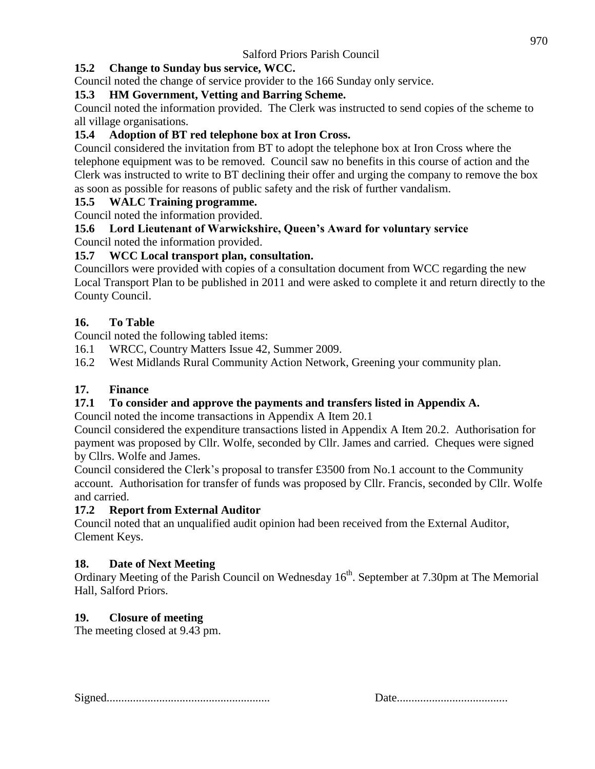# **15.2 Change to Sunday bus service, WCC.**

Council noted the change of service provider to the 166 Sunday only service.

#### **15.3 HM Government, Vetting and Barring Scheme.**

Council noted the information provided. The Clerk was instructed to send copies of the scheme to all village organisations.

#### **15.4 Adoption of BT red telephone box at Iron Cross.**

Council considered the invitation from BT to adopt the telephone box at Iron Cross where the telephone equipment was to be removed. Council saw no benefits in this course of action and the Clerk was instructed to write to BT declining their offer and urging the company to remove the box as soon as possible for reasons of public safety and the risk of further vandalism.

#### **15.5 WALC Training programme.**

Council noted the information provided.

# **15.6 Lord Lieutenant of Warwickshire, Queen's Award for voluntary service**

Council noted the information provided.

#### **15.7 WCC Local transport plan, consultation.**

Councillors were provided with copies of a consultation document from WCC regarding the new Local Transport Plan to be published in 2011 and were asked to complete it and return directly to the County Council.

#### **16. To Table**

Council noted the following tabled items:

16.1 WRCC, Country Matters Issue 42, Summer 2009.

16.2 West Midlands Rural Community Action Network, Greening your community plan.

#### **17. Finance**

#### **17.1 To consider and approve the payments and transfers listed in Appendix A.**

Council noted the income transactions in Appendix A Item 20.1

Council considered the expenditure transactions listed in Appendix A Item 20.2. Authorisation for payment was proposed by Cllr. Wolfe, seconded by Cllr. James and carried. Cheques were signed by Cllrs. Wolfe and James.

Council considered the Clerk's proposal to transfer £3500 from No.1 account to the Community account. Authorisation for transfer of funds was proposed by Cllr. Francis, seconded by Cllr. Wolfe and carried.

#### **17.2 Report from External Auditor**

Council noted that an unqualified audit opinion had been received from the External Auditor, Clement Keys.

#### **18. Date of Next Meeting**

Ordinary Meeting of the Parish Council on Wednesday 16<sup>th</sup>. September at 7.30pm at The Memorial Hall, Salford Priors.

# **19. Closure of meeting**

The meeting closed at 9.43 pm.

Signed........................................................ Date......................................